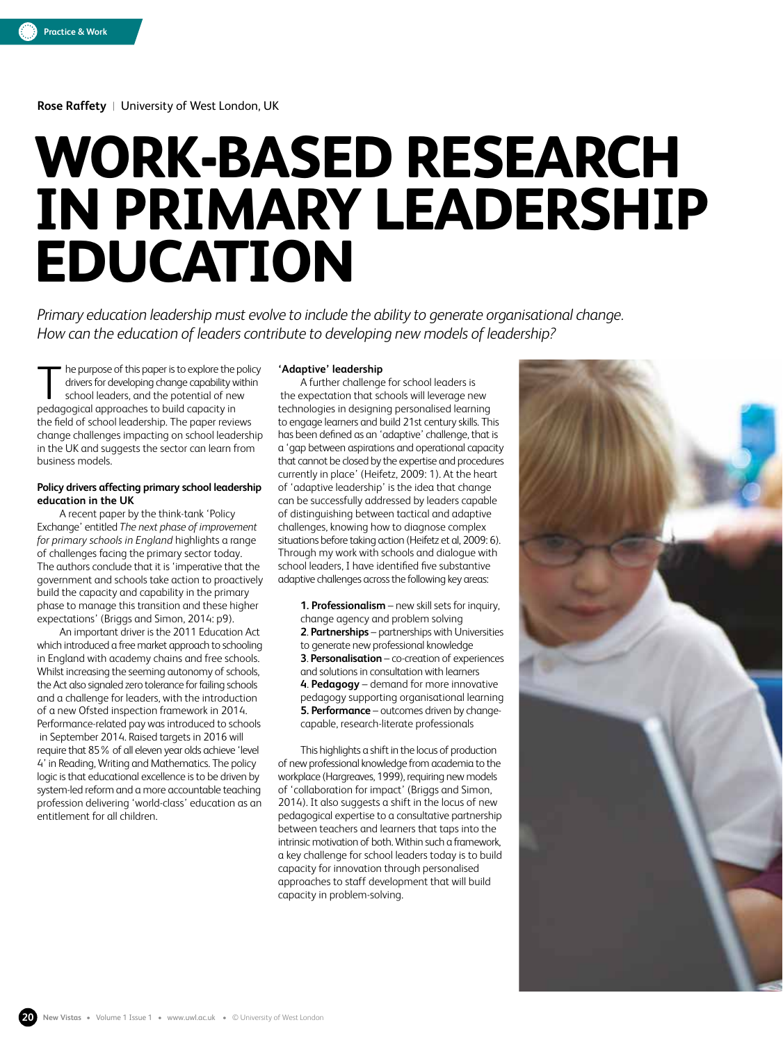**Rose Raffety** |University of West London, UK

# **WORK-BASED RESEARCH IN PRIMARY LEADERSHIP EDUCATION**

*Primary education leadership must evolve to include the ability to generate organisational change. How can the education of leaders contribute to developing new models of leadership?*

he purpose of this paper is to explore the policy drivers for developing change capability within school leaders, and the potential of new pedagogical approaches to build capacity in the field of school leadership. The paper reviews change challenges impacting on school leadership in the UK and suggests the sector can learn from business models. T

#### **Policy drivers affecting primary school leadership education in the UK**

A recent paper by the think-tank 'Policy Exchange' entitled *The next phase of improvement for primary schools in England* highlights a range of challenges facing the primary sector today. The authors conclude that it is 'imperative that the government and schools take action to proactively build the capacity and capability in the primary phase to manage this transition and these higher expectations' (Briggs and Simon, 2014: p9).

An important driver is the 2011 Education Act which introduced a free market approach to schooling in England with academy chains and free schools. Whilst increasing the seeming autonomy of schools, the Act also signaled zero tolerance for failing schools and a challenge for leaders, with the introduction of a new Ofsted inspection framework in 2014. Performance-related pay was introduced to schools in September 2014. Raised targets in 2016 will require that 85% of all eleven year olds achieve 'level 4' in Reading, Writing and Mathematics. The policy logic is that educational excellence is to be driven by system-led reform and a more accountable teaching profession delivering 'world-class' education as an entitlement for all children.

#### **'Adaptive' leadership**

A further challenge for school leaders is the expectation that schools will leverage new technologies in designing personalised learning to engage learners and build 21st century skills. This has been defined as an 'adaptive' challenge, that is a 'gap between aspirations and operational capacity that cannot be closed by the expertise and procedures currently in place' (Heifetz, 2009: 1). At the heart of 'adaptive leadership' is the idea that change can be successfully addressed by leaders capable of distinguishing between tactical and adaptive challenges, knowing how to diagnose complex situations before taking action (Heifetz et al, 2009: 6). Through my work with schools and dialogue with school leaders, I have identified five substantive adaptive challenges across the following key areas:

> **1. Professionalism** – new skill sets for inquiry, change agency and problem solving **2**. **Partnerships** – partnerships with Universities to generate new professional knowledge **3**. **Personalisation** – co-creation of experiences and solutions in consultation with learners **4**. **Pedagogy** – demand for more innovative pedagogy supporting organisational learning **5. Performance** – outcomes driven by changecapable, research-literate professionals

This highlights a shift in the locus of production of new professional knowledge from academia to the workplace (Hargreaves, 1999), requiring new models of 'collaboration for impact' (Briggs and Simon, 2014). It also suggests a shift in the locus of new pedagogical expertise to a consultative partnership between teachers and learners that taps into the intrinsic motivation of both. Within such a framework, a key challenge for school leaders today is to build capacity for innovation through personalised approaches to staff development that will build capacity in problem-solving.



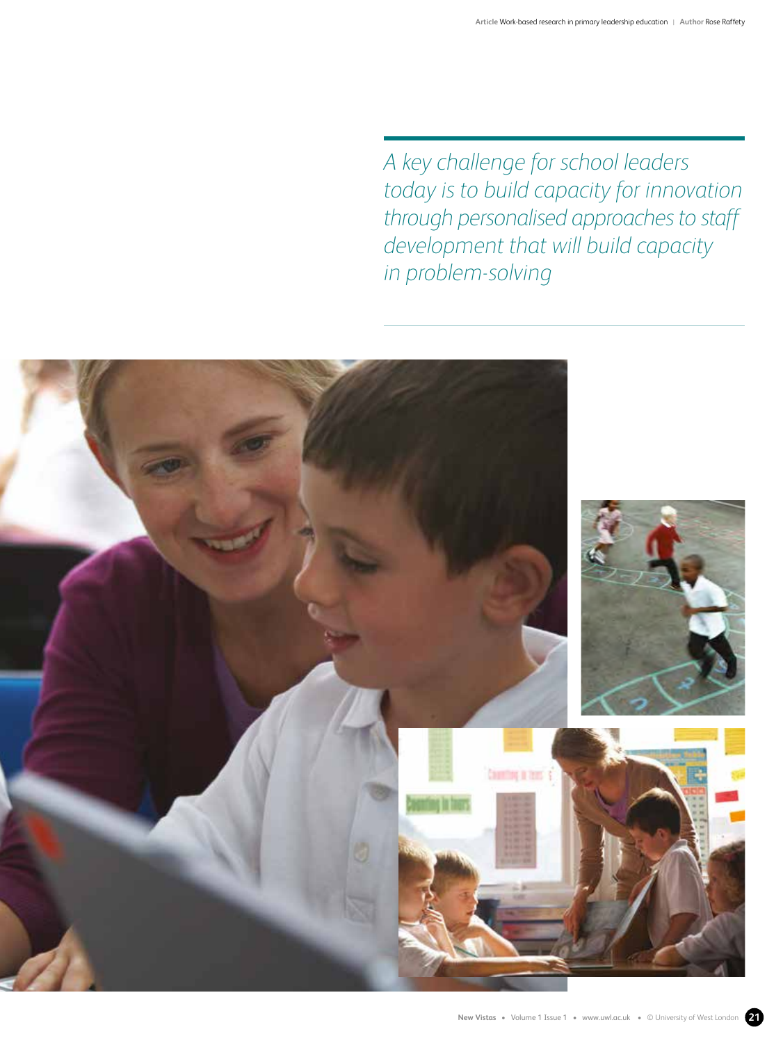*A key challenge for school leaders today is to build capacity for innovation through personalised approaches to staff development that will build capacity in problem-solving* 

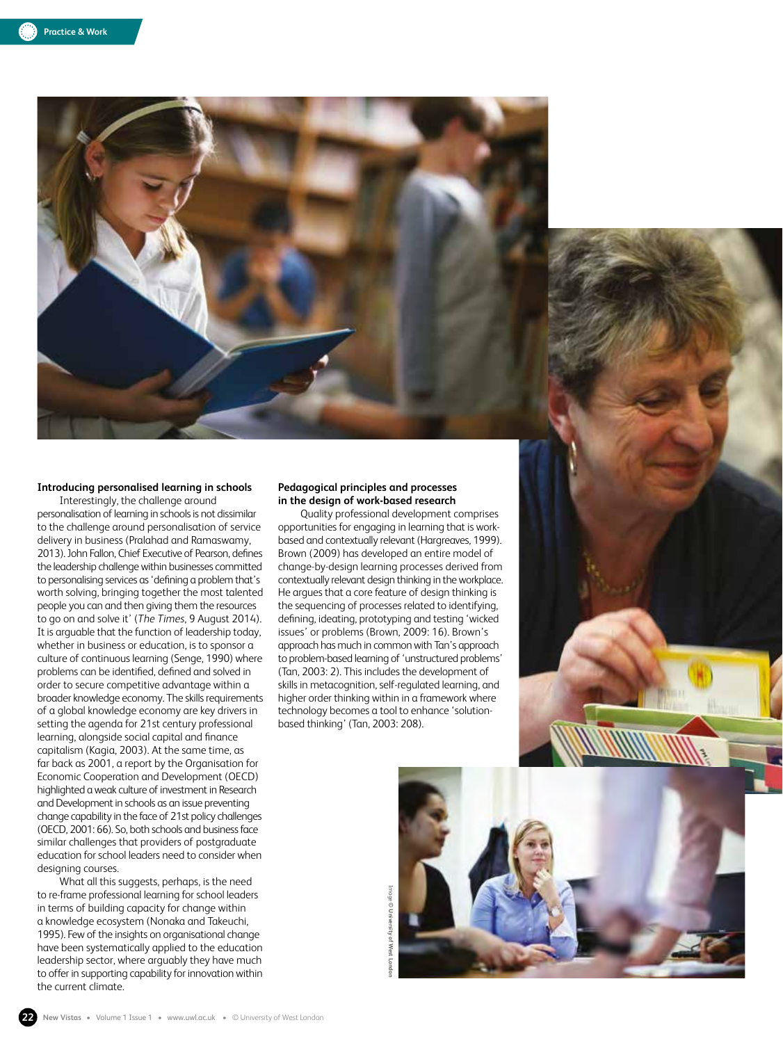

### **Introducing personalised learning in schools**

Interestingly, the challenge around personalisation of learning in schools is not dissimilar to the challenge around personalisation of service delivery in business (Pralahad and Ramaswamy, 2013). John Fallon, Chief Executive of Pearson, defines the leadership challenge within businesses committed to personalising services as 'defining a problem that's worth solving, bringing together the most talented people you can and then giving them the resources to go on and solve it' (*The Times*, 9 August 2014). It is arguable that the function of leadership today, whether in business or education, is to sponsor a culture of continuous learning (Senge, 1990) where problems can be identified, defined and solved in order to secure competitive advantage within a broader knowledge economy. The skills requirements of a global knowledge economy are key drivers in setting the agenda for 21st century professional learning, alongside social capital and finance capitalism (Kagia, 2003). At the same time, as far back as 2001, a report by the Organisation for Economic Cooperation and Development (OECD) highlighted a weak culture of investment in Research and Development in schools as an issue preventing change capability in the face of 21st policy challenges (OECD, 2001: 66). So, both schools and business face similar challenges that providers of postgraduate education for school leaders need to consider when designing courses.

What all this suggests, perhaps, is the need to re-frame professional learning for school leaders in terms of building capacity for change within a knowledge ecosystem (Nonaka and Takeuchi, 1995). Few of the insights on organisational change have been systematically applied to the education leadership sector, where arguably they have much to offer in supporting capability for innovation within the current climate.

#### **Pedagogical principles and processes in the design of work-based research**

Quality professional development comprises opportunities for engaging in learning that is workbased and contextually relevant (Hargreaves, 1999). Brown (2009) has developed an entire model of change-by-design learning processes derived from contextually relevant design thinking in the workplace. He argues that a core feature of design thinking is the sequencing of processes related to identifying, defining, ideating, prototyping and testing 'wicked issues' or problems (Brown, 2009: 16). Brown's approach has much in common with Tan's approach to problem-based learning of 'unstructured problems' (Tan, 2003: 2). This includes the development of skills in metacognition, self-regulated learning, and higher order thinking within in a framework where technology becomes a tool to enhance 'solutionbased thinking' (Tan, 2003: 208).

Image

**© University of West London**